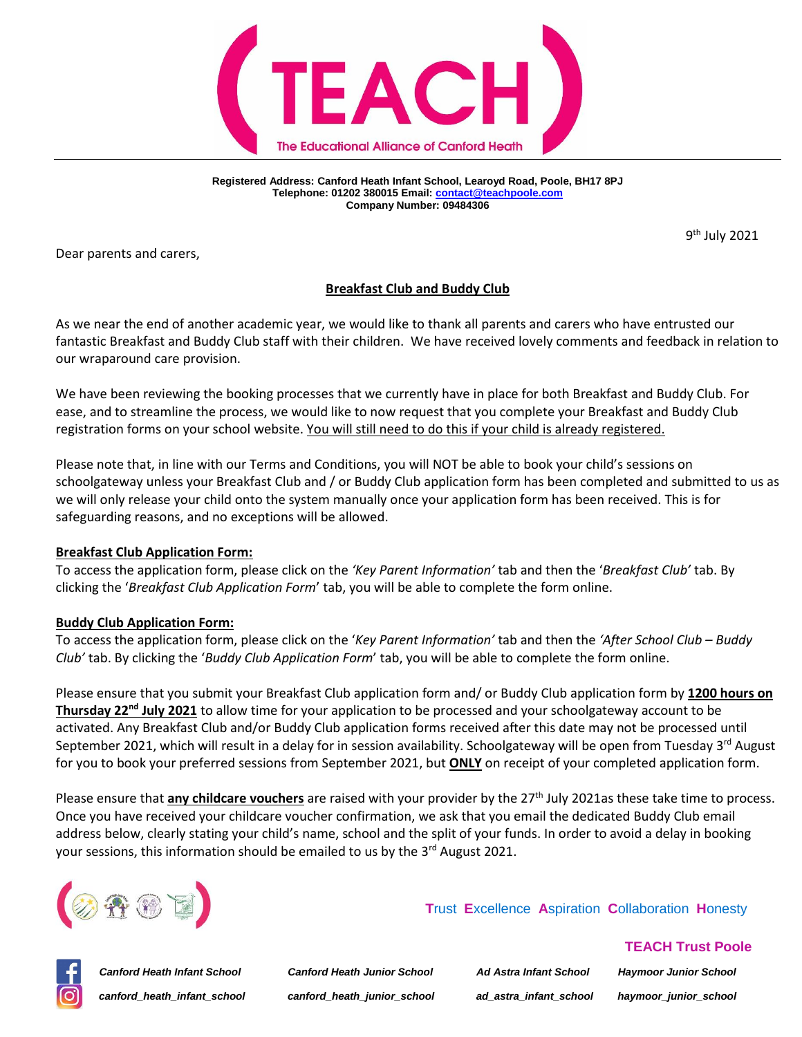

**Registered Address: Canford Heath Infant School, Learoyd Road, Poole, BH17 8PJ Telephone: 01202 380015 Email[: contact@teachpoole.com](mailto:contact@teachpoole.com) Company Number: 09484306**

9<sup>th</sup> July 2021

Dear parents and carers,

## **Breakfast Club and Buddy Club**

As we near the end of another academic year, we would like to thank all parents and carers who have entrusted our fantastic Breakfast and Buddy Club staff with their children. We have received lovely comments and feedback in relation to our wraparound care provision.

We have been reviewing the booking processes that we currently have in place for both Breakfast and Buddy Club. For ease, and to streamline the process, we would like to now request that you complete your Breakfast and Buddy Club registration forms on your school website. You will still need to do this if your child is already registered.

Please note that, in line with our Terms and Conditions, you will NOT be able to book your child's sessions on schoolgateway unless your Breakfast Club and / or Buddy Club application form has been completed and submitted to us as we will only release your child onto the system manually once your application form has been received. This is for safeguarding reasons, and no exceptions will be allowed.

### **Breakfast Club Application Form:**

To access the application form, please click on the *'Key Parent Information'* tab and then the '*Breakfast Club'* tab. By clicking the '*Breakfast Club Application Form*' tab, you will be able to complete the form online.

## **Buddy Club Application Form:**

To access the application form, please click on the '*Key Parent Information'* tab and then the *'After School Club – Buddy Club'* tab. By clicking the '*Buddy Club Application Form*' tab, you will be able to complete the form online.

Please ensure that you submit your Breakfast Club application form and/ or Buddy Club application form by **1200 hours on Thursday 22nd July 2021** to allow time for your application to be processed and your schoolgateway account to be activated. Any Breakfast Club and/or Buddy Club application forms received after this date may not be processed until September 2021, which will result in a delay for in session availability. Schoolgateway will be open from Tuesday 3<sup>rd</sup> August for you to book your preferred sessions from September 2021, but **ONLY** on receipt of your completed application form.

Please ensure that **any childcare vouchers** are raised with your provider by the 27<sup>th</sup> July 2021as these take time to process. Once you have received your childcare voucher confirmation, we ask that you email the dedicated Buddy Club email address below, clearly stating your child's name, school and the split of your funds. In order to avoid a delay in booking your sessions, this information should be emailed to us by the 3<sup>rd</sup> August 2021.



 **T**rust **E**xcellence **A**spiration **C**ollaboration **H**onesty



*Canford Heath Infant School Canford Heath Junior School Ad Astra Infant School Haymoor Junior School canford\_heath\_infant\_school canford\_heath\_junior\_school ad\_astra\_infant\_school haymoor\_junior\_school*

 **TEACH Trust Poole**